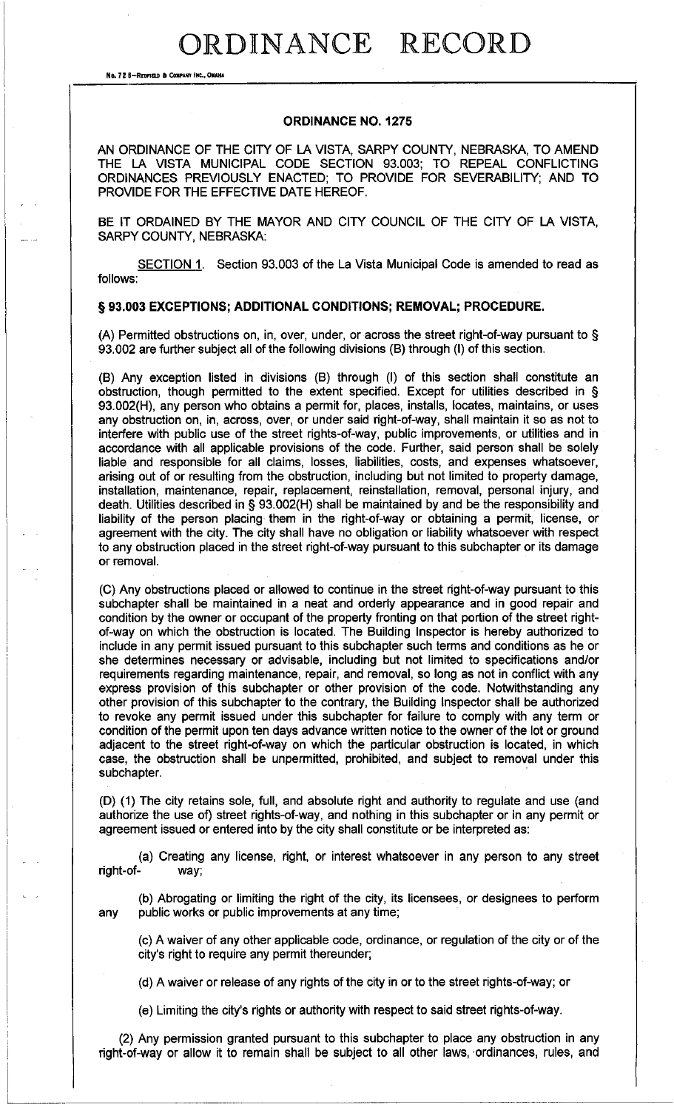## ORDINANCE RECORD

**No. 72 8-REDFIELD & COMPANY INC., OMAHA** 

### **ORDINANCE N0.1275**

AN ORDINANCE OF THE CITY OF LA VISTA, SARPY COUNTY, NEBRASKA, TO AMEND THE LA VISTA MUNICIPAL CODE SECTION 93.003; TO REPEAL CONFLICTING ORDINANCES PREVIOUSLY ENACTED; TO PROVIDE FOR SEVERABILITY; AND TO PROVIDE FOR THE EFFECTIVE DATE HEREOF.

BE IT ORDAINED BY THE MAYOR AND CITY COUNCIL OF THE CITY OF LA VISTA, SARPY COUNTY, NEBRASKA:

SECTION 1. Section 93.003 of the La Vista Municipal Code is amended to read as follows:

### § **93.003 EXCEPTIONS; ADDITIONAL CONDITIONS; REMOVAL; PROCEDURE.**

(A) Permitted obstructions on, in, over, under, or across the street right-of-way pursuant to § 93.002 are further subject all of the following divisions (B) through (I) of this section.

(B) Any exception listed in divisions (B) through (I) of this section shall constitute an obstruction, though permitted to the extent specified. Except for utilities described in § 93.002(H), any person who obtains a permit for, places, installs, locates, maintains, or uses any obstruction on, in, across, over, or under said right-of-way, shall maintain it so as not to interfere with public use of the street rights-of-way, public improvements, or utilities and in accordance with all applicable provisions of the code. Further, said person shall be solely liable and responsible for all claims, losses, liabilities, costs, and expenses whatsoever, arising out of or resulting from the obstruction, including but not limited to property damage, installation, maintenance, repair, replacement, reinstallation, removal, personal injury, and death. Utilities described in § 93.002(H) shall be maintained by and be the responsibility and liability of the person placing them in the right-of-way or obtaining a permit, license, or agreement with the city. The city shall have no obligation or liability whatsoever with respect to any obstruction placed in the street right-of-way pursuant to this subchapter or its damage or removal.

(C) Any obstructions placed or allowed to continue in the street right-of-way pursuant to this subchapter shall be maintained in a neat and orderly appearance and in good repair and condition by the owner or occupant of the property fronting on that portion of the street rightof-way on which the obstruction is located. The Building Inspector is hereby authorized to include in any permit issued pursuant to this subchapter such terms and conditions as he or she determines necessary or advisable, including but not limited to specifications and/or requirements regarding maintenance, repair, and removal, so long as not in conflict with any express provision of this subchapter or other provision of the code. Notwithstanding any other provision of this subchapter to the contrary, the Building Inspector shall be authorized to revoke any permit issued under this subchapter for failure to comply with any term or condition of the permit upon ten days advance written notice to the owner of the lot or ground adjacent to the street right-of-way on which the particular obstruction is located, in which case, the obstruction shall be unpermitted, prohibited, and subject to removal under this subchapter.

(D) (1) The city retains sole, full, and absolute right and authority to regulate and use (and authorize the use of) street rights-of-way, and nothing in this subchapter or in any permit or agreement issued or entered into by the city shall constitute or be interpreted as:

(a) Creating any license. right, or interest whatsoever in any person to any street right-of- way;

(b) Abrogating or limiting the right of the city, its licensees, or designees to perform any public works or public improvements at any time;

(c) A waiver of any other applicable code, ordinance, or regulation of the city or of the city's right to require any permit thereunder;

(d) A waiver or release of any rights of the city in or to the street rights-of-way; or

(e) Limiting the city's rights or authority with respect to said street rights-of-way.

(2) Any permission granted pursuant to this subchapter to place any obstruction in any right-of-way or allow it to remain shall be subject to all other laws, ordinances, rules, and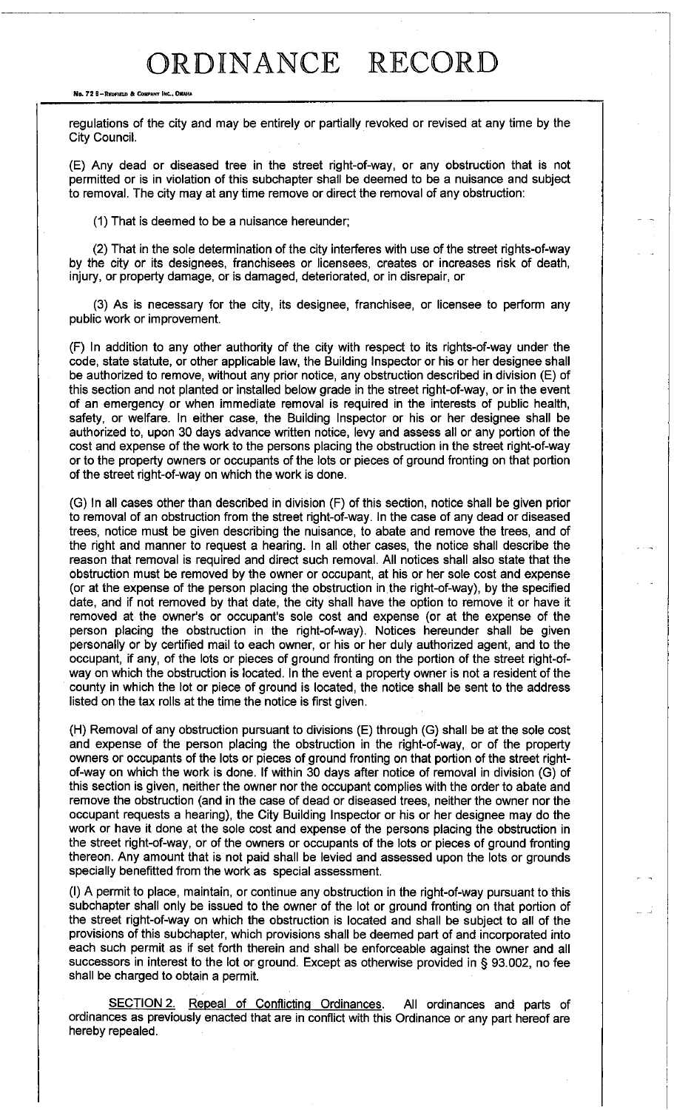# ORDINANCE RECORD

#### **No. 72 8-REDFIELD & COMPANY INC., OMAHA**

regulations of the city and may be entirely or partially revoked or revised at any time by the City Council.

(E) Any dead or diseased tree in the street right-of-way, or any obstruction that is not permitted or is in violation of this subchapter shall be deemed to be a nuisance and subject to removal. The city may at any time remove or direct the removal of any obstruction:

(1) That is deemed to be a nuisance hereunder;

(2) That in the sole determination of the city interferes with use of the street rights-of-way by the city or its designees, franchisees or licensees, creates or increases risk of death, injury, or property damage, or is damaged, deteriorated, or in disrepair, or

(3) As is necessary for the city, its designee, franchisee, or licensee to perform any public work or improvement.

(F) In addition to any other authority of the city with respect to its rights-of-way under the code, state statute, or other applicable law, the Building Inspector or his or her designee shall be authorized to remove, without any prior notice, any obstruction described in division (E) of this section and not planted or installed below grade in the street right-of-way, or in the event of an emergency or when immediate removal is required in the interests of public health, safety, or welfare. In either case, the Building Inspector or his or her designee shall be authorized to, upon 30 days advance written notice, levy and assess all or any portion of the cost and expense of the work to the persons placing the obstruction in the street right-of-way or to the property owners or occupants of the lots or pieces of ground fronting on that portion of the street right-of-way on which the work is done.

(G) In all cases other than described in division (F) of this section, notice shall be given prior to removal of an obstruction from the street right-of-way. In the case of any dead or diseased trees, notice must be given describing the nuisance, to abate and remove the trees, and of the right and manner to request a hearing. In all other cases, the notice shall describe the reason that removal is required and direct such removal. All notices shall also state that the obstruction must be removed by the owner or occupant, at his or her sole cost and expense (or at the expense of the person placing the obstruction in.the right-of-way), by the specified date, and if not removed by that date, the city shall have the option to remove it or have it removed at the owner's or occupant's sole cost and expense (or at the expense of the person placing the obstruction in the right-of-way). Notices hereunder shall be given personally or by certified mail to each owner, or his or her duly authorized agent, and to the occupant, if any, of the lots or pieces of ground fronting on the portion of the street right-ofway on which the obstruction is located. In the event a property owner is not a resident of the county in which the lot or piece of ground is located, the notice shall be sent to the address listed on the tax rolls at the time the notice is first given.

(H) Removal of any obstruction pursuant to divisions (E) through (G) shall be at the sole cost and expense of the person placing the obstruction in the right-of-way, or of the property owners or occupants of the lots or pieces of ground fronting on that portion of the street rightof-way on which the work is done. If within 30 days after notice of removal in division (G) of this section is given, neither the owner nor the occupant complies with the order to abate and remove the obstruction (and in the case of dead or diseased trees, neither the owner nor the occupant requests a hearing), the City Building Inspector or his or her designee may do the work or have it done at the sole cost and expense of the persons placing the obstruction in the street right-of-way, or of the owners or occupants of the lots or pieces of ground fronting thereon. Any amount that is not paid shall be levied and assessed upon the lots or grounds specially benefitted from the work as special assessment.

(I) A permit to place, maintain, or continue any obstruction in the right-of-way pursuant to this subchapter shall only be issued to the owner of the lot or ground fronting on that portion of the street right-of-way on which the obstruction is located and shall be subject to all of the provisions of this subchapter, which provisions shall be deemed part of and incorporated into each such permit as if set forth therein and shall be enforceable against the owner and all successors in interest to the lot or ground. Except as otherwise provided in § 93.002, no fee shall be charged to obtain a permit.

SECTION 2. Repeal of Conflicting Ordinances. All ordinances and parts of ordinances as previously enacted that are in conflict with this Ordinance or any part hereof are hereby repealed.